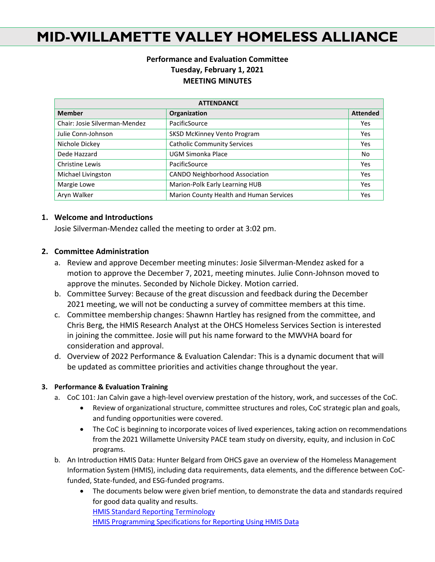# **MID-WILLAMETTE VALLEY HOMELESS ALLIANCE**

### **Performance and Evaluation Committee Tuesday, February 1, 2021 MEETING MINUTES**

| <b>ATTENDANCE</b>             |                                         |                 |
|-------------------------------|-----------------------------------------|-----------------|
| <b>Member</b>                 | Organization                            | <b>Attended</b> |
| Chair: Josie Silverman-Mendez | PacificSource                           | Yes             |
| Julie Conn-Johnson            | <b>SKSD McKinney Vento Program</b>      | Yes             |
| Nichole Dickey                | <b>Catholic Community Services</b>      | Yes             |
| Dede Hazzard                  | UGM Simonka Place                       | No              |
| Christine Lewis               | PacificSource                           | Yes             |
| Michael Livingston            | <b>CANDO Neighborhood Association</b>   | Yes             |
| Margie Lowe                   | Marion-Polk Early Learning HUB          | Yes             |
| Aryn Walker                   | Marion County Health and Human Services | Yes             |

#### **1. Welcome and Introductions**

Josie Silverman-Mendez called the meeting to order at 3:02 pm.

### **2. Committee Administration**

- a. Review and approve December meeting minutes: Josie Silverman-Mendez asked for a motion to approve the December 7, 2021, meeting minutes. Julie Conn-Johnson moved to approve the minutes. Seconded by Nichole Dickey. Motion carried.
- b. Committee Survey: Because of the great discussion and feedback during the December 2021 meeting, we will not be conducting a survey of committee members at this time.
- c. Committee membership changes: Shawnn Hartley has resigned from the committee, and Chris Berg, the HMIS Research Analyst at the OHCS Homeless Services Section is interested in joining the committee. Josie will put his name forward to the MWVHA board for consideration and approval.
- d. Overview of 2022 Performance & Evaluation Calendar: This is a dynamic document that will be updated as committee priorities and activities change throughout the year.

#### **3. Performance & Evaluation Training**

- a. CoC 101: Jan Calvin gave a high-level overview prestation of the history, work, and successes of the CoC.
	- Review of organizational structure, committee structures and roles, CoC strategic plan and goals, and funding opportunities were covered.
	- The CoC is beginning to incorporate voices of lived experiences, taking action on recommendations from the 2021 Willamette University PACE team study on diversity, equity, and inclusion in CoC programs.
- b. An Introduction HMIS Data: Hunter Belgard from OHCS gave an overview of the Homeless Management Information System (HMIS), including data requirements, data elements, and the difference between CoCfunded, State-funded, and ESG-funded programs.
	- The documents below were given brief mention, to demonstrate the data and standards required for good data quality and results. [HMIS Standard Reporting Terminology](https://files.hudexchange.info/resources/documents/HMIS-Standard-Reporting-Terminology-Glossary.pdf) [HMIS Programming Specifications for Reporting Using HMIS Data](https://files.hudexchange.info/resources/documents/HMIS-Programming-Specifications.pdf)